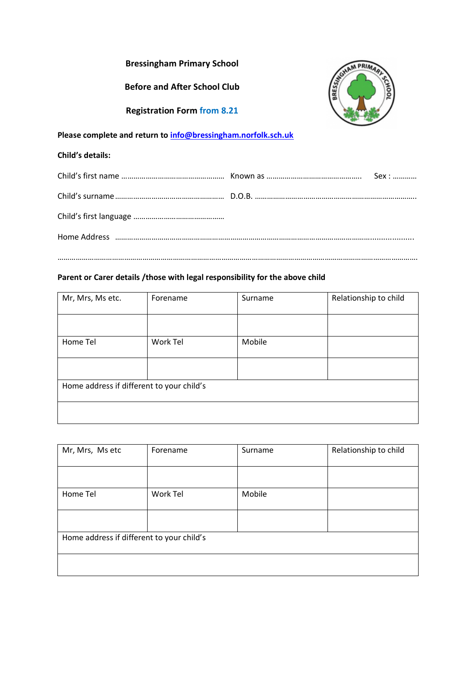| <b>Bressingham Primary School</b>                             |                   |
|---------------------------------------------------------------|-------------------|
| <b>Before and After School Club</b>                           |                   |
| <b>Registration Form from 8.21</b>                            |                   |
| Please complete and return to info@bressingham.norfolk.sch.uk |                   |
| <b>Child's details:</b>                                       |                   |
|                                                               | $S$ ex : $\ldots$ |
|                                                               |                   |

…………………………………………………………………………………………………………………………………………………………….

# **Parent or Carer details /those with legal responsibility for the above child**

| Mr, Mrs, Ms etc.                          | Forename | Surname | Relationship to child |
|-------------------------------------------|----------|---------|-----------------------|
|                                           |          |         |                       |
| Home Tel                                  | Work Tel | Mobile  |                       |
|                                           |          |         |                       |
| Home address if different to your child's |          |         |                       |
|                                           |          |         |                       |

| Mr, Mrs, Ms etc                           | Forename | Surname | Relationship to child |
|-------------------------------------------|----------|---------|-----------------------|
|                                           |          |         |                       |
| Home Tel                                  | Work Tel | Mobile  |                       |
|                                           |          |         |                       |
| Home address if different to your child's |          |         |                       |
|                                           |          |         |                       |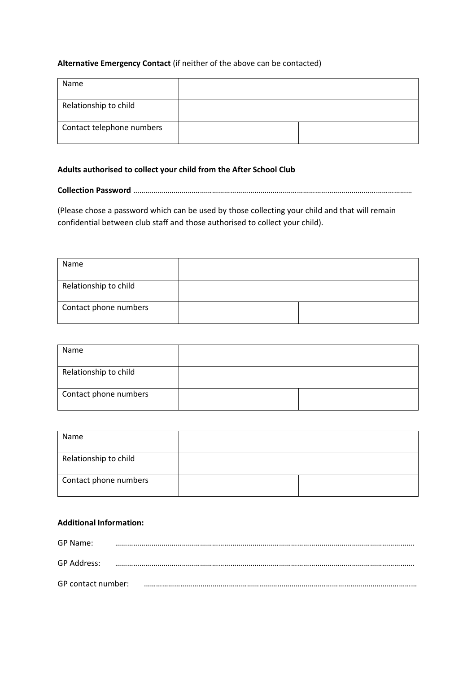## **Alternative Emergency Contact** (if neither of the above can be contacted)

| Name                      |  |
|---------------------------|--|
| Relationship to child     |  |
| Contact telephone numbers |  |

#### **Adults authorised to collect your child from the After School Club**

**Collection Password** …………………………………………………………………………………………………………………………

(Please chose a password which can be used by those collecting your child and that will remain confidential between club staff and those authorised to collect your child).

| Name                  |  |
|-----------------------|--|
| Relationship to child |  |
| Contact phone numbers |  |

| Name                  |  |
|-----------------------|--|
| Relationship to child |  |
| Contact phone numbers |  |

| Name                  |  |
|-----------------------|--|
| Relationship to child |  |
| Contact phone numbers |  |

# **Additional Information:**

| GP Name:           |  |
|--------------------|--|
| GP Address:        |  |
| GP contact number: |  |